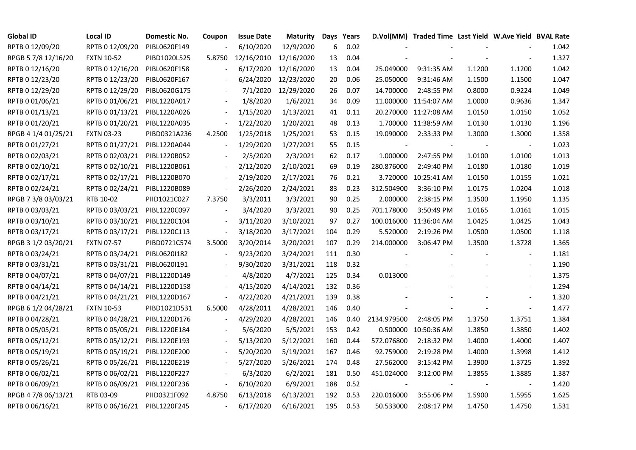| <b>Global ID</b>    | <b>Local ID</b>   | Domestic No. | Coupon                   | <b>Issue Date</b> | <b>Maturity</b> |     | Days Years |             | D.Vol(MM) Traded Time Last Yield W.Ave Yield BVAL Rate |        |                |       |
|---------------------|-------------------|--------------|--------------------------|-------------------|-----------------|-----|------------|-------------|--------------------------------------------------------|--------|----------------|-------|
| RPTB 0 12/09/20     | RPTB 0 12/09/20   | PIBL0620F149 |                          | 6/10/2020         | 12/9/2020       | 6   | 0.02       |             |                                                        |        |                | 1.042 |
| RPGB 5 7/8 12/16/20 | <b>FXTN 10-52</b> | PIBD1020L525 | 5.8750                   | 12/16/2010        | 12/16/2020      | 13  | 0.04       |             |                                                        |        |                | 1.327 |
| RPTB 0 12/16/20     | RPTB 0 12/16/20   | PIBL0620F158 |                          | 6/17/2020         | 12/16/2020      | 13  | 0.04       | 25.049000   | 9:31:35 AM                                             | 1.1200 | 1.1200         | 1.042 |
| RPTB 0 12/23/20     | RPTB 0 12/23/20   | PIBL0620F167 |                          | 6/24/2020         | 12/23/2020      | 20  | 0.06       | 25.050000   | 9:31:46 AM                                             | 1.1500 | 1.1500         | 1.047 |
| RPTB 0 12/29/20     | RPTB 0 12/29/20   | PIBL0620G175 |                          | 7/1/2020          | 12/29/2020      | 26  | 0.07       | 14.700000   | 2:48:55 PM                                             | 0.8000 | 0.9224         | 1.049 |
| RPTB 0 01/06/21     | RPTB 0 01/06/21   | PIBL1220A017 |                          | 1/8/2020          | 1/6/2021        | 34  | 0.09       |             | 11.000000 11:54:07 AM                                  | 1.0000 | 0.9636         | 1.347 |
| RPTB 0 01/13/21     | RPTB 0 01/13/21   | PIBL1220A026 |                          | 1/15/2020         | 1/13/2021       | 41  | 0.11       |             | 20.270000 11:27:08 AM                                  | 1.0150 | 1.0150         | 1.052 |
| RPTB 0 01/20/21     | RPTB 0 01/20/21   | PIBL1220A035 | $\overline{\phantom{a}}$ | 1/22/2020         | 1/20/2021       | 48  | 0.13       |             | 1.700000 11:38:59 AM                                   | 1.0130 | 1.0130         | 1.196 |
| RPGB 4 1/4 01/25/21 | <b>FXTN 03-23</b> | PIBD0321A236 | 4.2500                   | 1/25/2018         | 1/25/2021       | 53  | 0.15       | 19.090000   | 2:33:33 PM                                             | 1.3000 | 1.3000         | 1.358 |
| RPTB 0 01/27/21     | RPTB 0 01/27/21   | PIBL1220A044 | $\overline{\phantom{a}}$ | 1/29/2020         | 1/27/2021       | 55  | 0.15       |             |                                                        |        |                | 1.023 |
| RPTB 0 02/03/21     | RPTB 0 02/03/21   | PIBL1220B052 | $\blacksquare$           | 2/5/2020          | 2/3/2021        | 62  | 0.17       | 1.000000    | 2:47:55 PM                                             | 1.0100 | 1.0100         | 1.013 |
| RPTB 0 02/10/21     | RPTB 0 02/10/21   | PIBL1220B061 | $\overline{\phantom{a}}$ | 2/12/2020         | 2/10/2021       | 69  | 0.19       | 280.876000  | 2:49:40 PM                                             | 1.0180 | 1.0180         | 1.019 |
| RPTB 0 02/17/21     | RPTB 0 02/17/21   | PIBL1220B070 |                          | 2/19/2020         | 2/17/2021       | 76  | 0.21       |             | 3.720000 10:25:41 AM                                   | 1.0150 | 1.0155         | 1.021 |
| RPTB 0 02/24/21     | RPTB 0 02/24/21   | PIBL1220B089 | $\overline{\phantom{a}}$ | 2/26/2020         | 2/24/2021       | 83  | 0.23       | 312.504900  | 3:36:10 PM                                             | 1.0175 | 1.0204         | 1.018 |
| RPGB 7 3/8 03/03/21 | RTB 10-02         | PIID1021C027 | 7.3750                   | 3/3/2011          | 3/3/2021        | 90  | 0.25       | 2.000000    | 2:38:15 PM                                             | 1.3500 | 1.1950         | 1.135 |
| RPTB 0 03/03/21     | RPTB 0 03/03/21   | PIBL1220C097 |                          | 3/4/2020          | 3/3/2021        | 90  | 0.25       | 701.178000  | 3:50:49 PM                                             | 1.0165 | 1.0161         | 1.015 |
| RPTB 0 03/10/21     | RPTB 0 03/10/21   | PIBL1220C104 | $\overline{\phantom{a}}$ | 3/11/2020         | 3/10/2021       | 97  | 0.27       |             | 100.016000 11:36:04 AM                                 | 1.0425 | 1.0425         | 1.043 |
| RPTB 0 03/17/21     | RPTB 0 03/17/21   | PIBL1220C113 | $\blacksquare$           | 3/18/2020         | 3/17/2021       | 104 | 0.29       | 5.520000    | 2:19:26 PM                                             | 1.0500 | 1.0500         | 1.118 |
| RPGB 3 1/2 03/20/21 | <b>FXTN 07-57</b> | PIBD0721C574 | 3.5000                   | 3/20/2014         | 3/20/2021       | 107 | 0.29       | 214.000000  | 3:06:47 PM                                             | 1.3500 | 1.3728         | 1.365 |
| RPTB 0 03/24/21     | RPTB 0 03/24/21   | PIBL0620I182 |                          | 9/23/2020         | 3/24/2021       | 111 | 0.30       |             |                                                        |        | $\blacksquare$ | 1.181 |
| RPTB 0 03/31/21     | RPTB 0 03/31/21   | PIBL0620I191 | $\blacksquare$           | 9/30/2020         | 3/31/2021       | 118 | 0.32       |             |                                                        |        | $\blacksquare$ | 1.190 |
| RPTB 0 04/07/21     | RPTB 0 04/07/21   | PIBL1220D149 |                          | 4/8/2020          | 4/7/2021        | 125 | 0.34       | 0.013000    |                                                        |        |                | 1.375 |
| RPTB 0 04/14/21     | RPTB 0 04/14/21   | PIBL1220D158 |                          | 4/15/2020         | 4/14/2021       | 132 | 0.36       |             |                                                        |        |                | 1.294 |
| RPTB 0 04/21/21     | RPTB 0 04/21/21   | PIBL1220D167 | $\overline{\phantom{a}}$ | 4/22/2020         | 4/21/2021       | 139 | 0.38       |             |                                                        |        |                | 1.320 |
| RPGB 6 1/2 04/28/21 | <b>FXTN 10-53</b> | PIBD1021D531 | 6.5000                   | 4/28/2011         | 4/28/2021       | 146 | 0.40       |             |                                                        |        | $\blacksquare$ | 1.477 |
| RPTB 0 04/28/21     | RPTB 0 04/28/21   | PIBL1220D176 |                          | 4/29/2020         | 4/28/2021       | 146 | 0.40       | 2134.979500 | 2:48:05 PM                                             | 1.3750 | 1.3751         | 1.384 |
| RPTB 0 05/05/21     | RPTB 0 05/05/21   | PIBL1220E184 |                          | 5/6/2020          | 5/5/2021        | 153 | 0.42       |             | 0.500000 10:50:36 AM                                   | 1.3850 | 1.3850         | 1.402 |
| RPTB 0 05/12/21     | RPTB 0 05/12/21   | PIBL1220E193 |                          | 5/13/2020         | 5/12/2021       | 160 | 0.44       | 572.076800  | 2:18:32 PM                                             | 1.4000 | 1.4000         | 1.407 |
| RPTB 0 05/19/21     | RPTB 0 05/19/21   | PIBL1220E200 |                          | 5/20/2020         | 5/19/2021       | 167 | 0.46       | 92.759000   | 2:19:28 PM                                             | 1.4000 | 1.3998         | 1.412 |
| RPTB 0 05/26/21     | RPTB 0 05/26/21   | PIBL1220E219 |                          | 5/27/2020         | 5/26/2021       | 174 | 0.48       | 27.562000   | 3:15:42 PM                                             | 1.3900 | 1.3725         | 1.392 |
| RPTB 0 06/02/21     | RPTB 0 06/02/21   | PIBL1220F227 |                          | 6/3/2020          | 6/2/2021        | 181 | 0.50       | 451.024000  | 3:12:00 PM                                             | 1.3855 | 1.3885         | 1.387 |
| RPTB 0 06/09/21     | RPTB 0 06/09/21   | PIBL1220F236 | $\blacksquare$           | 6/10/2020         | 6/9/2021        | 188 | 0.52       |             |                                                        |        |                | 1.420 |
| RPGB 4 7/8 06/13/21 | RTB 03-09         | PIID0321F092 | 4.8750                   | 6/13/2018         | 6/13/2021       | 192 | 0.53       | 220.016000  | 3:55:06 PM                                             | 1.5900 | 1.5955         | 1.625 |
| RPTB 0 06/16/21     | RPTB 0 06/16/21   | PIBL1220F245 | $\blacksquare$           | 6/17/2020         | 6/16/2021       | 195 | 0.53       | 50.533000   | 2:08:17 PM                                             | 1.4750 | 1.4750         | 1.531 |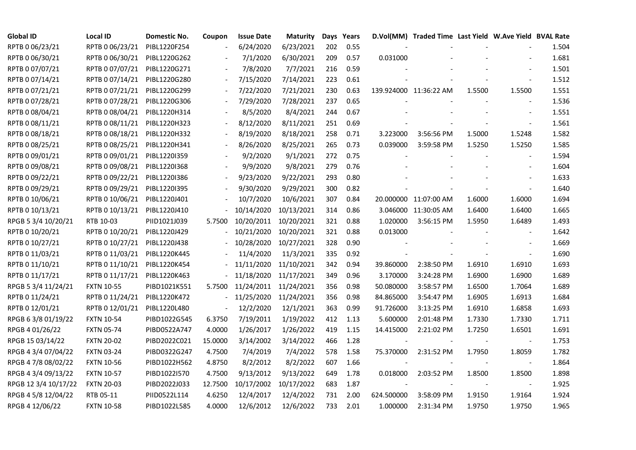| <b>Global ID</b>     | <b>Local ID</b>   | Domestic No. | Coupon                   | <b>Issue Date</b> | <b>Maturity</b> |     | Days Years |            | D.Vol(MM) Traded Time Last Yield W.Ave Yield BVAL Rate |        |                |       |
|----------------------|-------------------|--------------|--------------------------|-------------------|-----------------|-----|------------|------------|--------------------------------------------------------|--------|----------------|-------|
| RPTB 0 06/23/21      | RPTB 0 06/23/21   | PIBL1220F254 |                          | 6/24/2020         | 6/23/2021       | 202 | 0.55       |            |                                                        |        |                | 1.504 |
| RPTB 0 06/30/21      | RPTB 0 06/30/21   | PIBL1220G262 |                          | 7/1/2020          | 6/30/2021       | 209 | 0.57       | 0.031000   |                                                        |        |                | 1.681 |
| RPTB 0 07/07/21      | RPTB 0 07/07/21   | PIBL1220G271 |                          | 7/8/2020          | 7/7/2021        | 216 | 0.59       |            |                                                        |        |                | 1.501 |
| RPTB 0 07/14/21      | RPTB 0 07/14/21   | PIBL1220G280 | $\overline{\phantom{a}}$ | 7/15/2020         | 7/14/2021       | 223 | 0.61       |            |                                                        |        |                | 1.512 |
| RPTB 0 07/21/21      | RPTB 0 07/21/21   | PIBL1220G299 | $\frac{1}{2}$            | 7/22/2020         | 7/21/2021       | 230 | 0.63       |            | 139.924000 11:36:22 AM                                 | 1.5500 | 1.5500         | 1.551 |
| RPTB 0 07/28/21      | RPTB 0 07/28/21   | PIBL1220G306 |                          | 7/29/2020         | 7/28/2021       | 237 | 0.65       |            |                                                        |        |                | 1.536 |
| RPTB 0 08/04/21      | RPTB 0 08/04/21   | PIBL1220H314 |                          | 8/5/2020          | 8/4/2021        | 244 | 0.67       |            |                                                        |        | $\blacksquare$ | 1.551 |
| RPTB 0 08/11/21      | RPTB 0 08/11/21   | PIBL1220H323 |                          | 8/12/2020         | 8/11/2021       | 251 | 0.69       |            |                                                        |        |                | 1.561 |
| RPTB 0 08/18/21      | RPTB 0 08/18/21   | PIBL1220H332 |                          | 8/19/2020         | 8/18/2021       | 258 | 0.71       | 3.223000   | 3:56:56 PM                                             | 1.5000 | 1.5248         | 1.582 |
| RPTB 0 08/25/21      | RPTB 0 08/25/21   | PIBL1220H341 |                          | 8/26/2020         | 8/25/2021       | 265 | 0.73       | 0.039000   | 3:59:58 PM                                             | 1.5250 | 1.5250         | 1.585 |
| RPTB 0 09/01/21      | RPTB 0 09/01/21   | PIBL1220I359 | $\blacksquare$           | 9/2/2020          | 9/1/2021        | 272 | 0.75       |            |                                                        |        |                | 1.594 |
| RPTB 0 09/08/21      | RPTB 0 09/08/21   | PIBL1220I368 |                          | 9/9/2020          | 9/8/2021        | 279 | 0.76       |            |                                                        |        |                | 1.604 |
| RPTB 0 09/22/21      | RPTB 0 09/22/21   | PIBL1220I386 | $\overline{\phantom{a}}$ | 9/23/2020         | 9/22/2021       | 293 | 0.80       |            |                                                        |        |                | 1.633 |
| RPTB 0 09/29/21      | RPTB 0 09/29/21   | PIBL1220I395 |                          | 9/30/2020         | 9/29/2021       | 300 | 0.82       |            |                                                        |        |                | 1.640 |
| RPTB 0 10/06/21      | RPTB 0 10/06/21   | PIBL1220J401 |                          | 10/7/2020         | 10/6/2021       | 307 | 0.84       |            | 20.000000 11:07:00 AM                                  | 1.6000 | 1.6000         | 1.694 |
| RPTB 0 10/13/21      | RPTB 0 10/13/21   | PIBL1220J410 |                          | 10/14/2020        | 10/13/2021      | 314 | 0.86       |            | 3.046000 11:30:05 AM                                   | 1.6400 | 1.6400         | 1.665 |
| RPGB 5 3/4 10/20/21  | RTB 10-03         | PIID1021J039 | 5.7500                   | 10/20/2011        | 10/20/2021      | 321 | 0.88       | 1.020000   | 3:56:15 PM                                             | 1.5950 | 1.6489         | 1.493 |
| RPTB 0 10/20/21      | RPTB 0 10/20/21   | PIBL1220J429 |                          | 10/21/2020        | 10/20/2021      | 321 | 0.88       | 0.013000   |                                                        |        |                | 1.642 |
| RPTB 0 10/27/21      | RPTB 0 10/27/21   | PIBL1220J438 |                          | 10/28/2020        | 10/27/2021      | 328 | 0.90       |            |                                                        |        |                | 1.669 |
| RPTB 0 11/03/21      | RPTB 0 11/03/21   | PIBL1220K445 |                          | 11/4/2020         | 11/3/2021       | 335 | 0.92       |            |                                                        |        |                | 1.690 |
| RPTB 0 11/10/21      | RPTB 0 11/10/21   | PIBL1220K454 |                          | 11/11/2020        | 11/10/2021      | 342 | 0.94       | 39.860000  | 2:38:50 PM                                             | 1.6910 | 1.6910         | 1.693 |
| RPTB 0 11/17/21      | RPTB 0 11/17/21   | PIBL1220K463 |                          | 11/18/2020        | 11/17/2021      | 349 | 0.96       | 3.170000   | 3:24:28 PM                                             | 1.6900 | 1.6900         | 1.689 |
| RPGB 5 3/4 11/24/21  | <b>FXTN 10-55</b> | PIBD1021K551 | 5.7500                   | 11/24/2011        | 11/24/2021      | 356 | 0.98       | 50.080000  | 3:58:57 PM                                             | 1.6500 | 1.7064         | 1.689 |
| RPTB 0 11/24/21      | RPTB 0 11/24/21   | PIBL1220K472 |                          | 11/25/2020        | 11/24/2021      | 356 | 0.98       | 84.865000  | 3:54:47 PM                                             | 1.6905 | 1.6913         | 1.684 |
| RPTB 0 12/01/21      | RPTB 0 12/01/21   | PIBL1220L480 | $\frac{1}{2}$            | 12/2/2020         | 12/1/2021       | 363 | 0.99       | 91.726000  | 3:13:25 PM                                             | 1.6910 | 1.6858         | 1.693 |
| RPGB 63/8 01/19/22   | <b>FXTN 10-54</b> | PIBD1022G545 | 6.3750                   | 7/19/2011         | 1/19/2022       | 412 | 1.13       | 5.600000   | 2:01:48 PM                                             | 1.7330 | 1.7330         | 1.711 |
| RPGB 4 01/26/22      | <b>FXTN 05-74</b> | PIBD0522A747 | 4.0000                   | 1/26/2017         | 1/26/2022       | 419 | 1.15       | 14.415000  | 2:21:02 PM                                             | 1.7250 | 1.6501         | 1.691 |
| RPGB 15 03/14/22     | <b>FXTN 20-02</b> | PIBD2022C021 | 15.0000                  | 3/14/2002         | 3/14/2022       | 466 | 1.28       |            |                                                        |        | $\blacksquare$ | 1.753 |
| RPGB 4 3/4 07/04/22  | <b>FXTN 03-24</b> | PIBD0322G247 | 4.7500                   | 7/4/2019          | 7/4/2022        | 578 | 1.58       | 75.370000  | 2:31:52 PM                                             | 1.7950 | 1.8059         | 1.782 |
| RPGB 4 7/8 08/02/22  | <b>FXTN 10-56</b> | PIBD1022H562 | 4.8750                   | 8/2/2012          | 8/2/2022        | 607 | 1.66       |            |                                                        |        |                | 1.864 |
| RPGB 4 3/4 09/13/22  | <b>FXTN 10-57</b> | PIBD1022I570 | 4.7500                   | 9/13/2012         | 9/13/2022       | 649 | 1.78       | 0.018000   | 2:03:52 PM                                             | 1.8500 | 1.8500         | 1.898 |
| RPGB 12 3/4 10/17/22 | <b>FXTN 20-03</b> | PIBD2022J033 | 12.7500                  | 10/17/2002        | 10/17/2022      | 683 | 1.87       |            |                                                        |        |                | 1.925 |
| RPGB 4 5/8 12/04/22  | RTB 05-11         | PIID0522L114 | 4.6250                   | 12/4/2017         | 12/4/2022       | 731 | 2.00       | 624.500000 | 3:58:09 PM                                             | 1.9150 | 1.9164         | 1.924 |
| RPGB 4 12/06/22      | <b>FXTN 10-58</b> | PIBD1022L585 | 4.0000                   | 12/6/2012         | 12/6/2022       | 733 | 2.01       | 1.000000   | 2:31:34 PM                                             | 1.9750 | 1.9750         | 1.965 |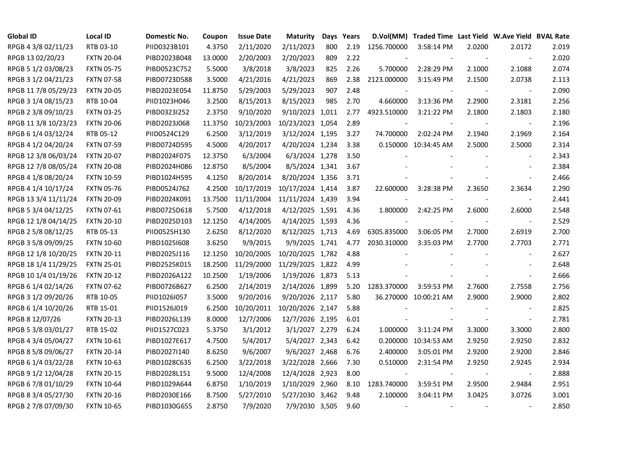| <b>Global ID</b>     | <b>Local ID</b>   | Domestic No. | Coupon  | <b>Issue Date</b> | <b>Maturity</b>  |     | Days Years | D.Vol(MM)                | Traded Time Last Yield W.Ave Yield BVAL Rate |        |                          |       |
|----------------------|-------------------|--------------|---------|-------------------|------------------|-----|------------|--------------------------|----------------------------------------------|--------|--------------------------|-------|
| RPGB 4 3/8 02/11/23  | RTB 03-10         | PIID0323B101 | 4.3750  | 2/11/2020         | 2/11/2023        | 800 | 2.19       | 1256.700000              | 3:58:14 PM                                   | 2.0200 | 2.0172                   | 2.019 |
| RPGB 13 02/20/23     | <b>FXTN 20-04</b> | PIBD2023B048 | 13.0000 | 2/20/2003         | 2/20/2023        | 809 | 2.22       |                          |                                              |        |                          | 2.020 |
| RPGB 5 1/2 03/08/23  | <b>FXTN 05-75</b> | PIBD0523C752 | 5.5000  | 3/8/2018          | 3/8/2023         | 825 | 2.26       | 5.700000                 | 2:28:29 PM                                   | 2.1000 | 2.1088                   | 2.074 |
| RPGB 3 1/2 04/21/23  | <b>FXTN 07-58</b> | PIBD0723D588 | 3.5000  | 4/21/2016         | 4/21/2023        | 869 | 2.38       | 2123.000000              | 3:15:49 PM                                   | 2.1500 | 2.0738                   | 2.113 |
| RPGB 11 7/8 05/29/23 | <b>FXTN 20-05</b> | PIBD2023E054 | 11.8750 | 5/29/2003         | 5/29/2023        | 907 | 2.48       |                          |                                              |        | $\blacksquare$           | 2.090 |
| RPGB 3 1/4 08/15/23  | RTB 10-04         | PIID1023H046 | 3.2500  | 8/15/2013         | 8/15/2023        | 985 | 2.70       | 4.660000                 | 3:13:36 PM                                   | 2.2900 | 2.3181                   | 2.256 |
| RPGB 2 3/8 09/10/23  | <b>FXTN 03-25</b> | PIBD0323I252 | 2.3750  | 9/10/2020         | 9/10/2023 1,011  |     | 2.77       | 4923.510000              | 3:21:22 PM                                   | 2.1800 | 2.1803                   | 2.180 |
| RPGB 11 3/8 10/23/23 | <b>FXTN 20-06</b> | PIBD2023J068 | 11.3750 | 10/23/2003        | 10/23/2023 1,054 |     | 2.89       |                          |                                              |        |                          | 2.196 |
| RPGB 6 1/4 03/12/24  | RTB 05-12         | PIID0524C129 | 6.2500  | 3/12/2019         | 3/12/2024 1,195  |     | 3.27       | 74.700000                | 2:02:24 PM                                   | 2.1940 | 2.1969                   | 2.164 |
| RPGB 4 1/2 04/20/24  | <b>FXTN 07-59</b> | PIBD0724D595 | 4.5000  | 4/20/2017         | 4/20/2024 1,234  |     | 3.38       |                          | 0.150000 10:34:45 AM                         | 2.5000 | 2.5000                   | 2.314 |
| RPGB 12 3/8 06/03/24 | <b>FXTN 20-07</b> | PIBD2024F075 | 12.3750 | 6/3/2004          | 6/3/2024 1,278   |     | 3.50       |                          |                                              |        | $\overline{\phantom{a}}$ | 2.343 |
| RPGB 12 7/8 08/05/24 | <b>FXTN 20-08</b> | PIBD2024H086 | 12.8750 | 8/5/2004          | 8/5/2024 1,341   |     | 3.67       |                          |                                              |        |                          | 2.384 |
| RPGB 4 1/8 08/20/24  | <b>FXTN 10-59</b> | PIBD1024H595 | 4.1250  | 8/20/2014         | 8/20/2024 1,356  |     | 3.71       |                          |                                              |        | $\blacksquare$           | 2.466 |
| RPGB 4 1/4 10/17/24  | <b>FXTN 05-76</b> | PIBD0524J762 | 4.2500  | 10/17/2019        | 10/17/2024 1,414 |     | 3.87       | 22.600000                | 3:28:38 PM                                   | 2.3650 | 2.3634                   | 2.290 |
| RPGB 13 3/4 11/11/24 | <b>FXTN 20-09</b> | PIBD2024K091 | 13.7500 | 11/11/2004        | 11/11/2024 1,439 |     | 3.94       |                          |                                              |        | $\sim$                   | 2.441 |
| RPGB 5 3/4 04/12/25  | <b>FXTN 07-61</b> | PIBD0725D618 | 5.7500  | 4/12/2018         | 4/12/2025 1,591  |     | 4.36       | 1.800000                 | 2:42:25 PM                                   | 2.6000 | 2.6000                   | 2.548 |
| RPGB 12 1/8 04/14/25 | <b>FXTN 20-10</b> | PIBD2025D103 | 12.1250 | 4/14/2005         | 4/14/2025 1,593  |     | 4.36       |                          |                                              |        |                          | 2.529 |
| RPGB 2 5/8 08/12/25  | RTB 05-13         | PIID0525H130 | 2.6250  | 8/12/2020         | 8/12/2025 1,713  |     | 4.69       | 6305.835000              | 3:06:05 PM                                   | 2.7000 | 2.6919                   | 2.700 |
| RPGB 3 5/8 09/09/25  | <b>FXTN 10-60</b> | PIBD10251608 | 3.6250  | 9/9/2015          | 9/9/2025 1,741   |     | 4.77       | 2030.310000              | 3:35:03 PM                                   | 2.7700 | 2.7703                   | 2.771 |
| RPGB 12 1/8 10/20/25 | <b>FXTN 20-11</b> | PIBD2025J116 | 12.1250 | 10/20/2005        | 10/20/2025 1,782 |     | 4.88       |                          |                                              |        | $\blacksquare$           | 2.627 |
| RPGB 18 1/4 11/29/25 | <b>FXTN 25-01</b> | PIBD2525K015 | 18.2500 | 11/29/2000        | 11/29/2025 1,822 |     | 4.99       |                          |                                              |        | $\sim$                   | 2.648 |
| RPGB 10 1/4 01/19/26 | <b>FXTN 20-12</b> | PIBD2026A122 | 10.2500 | 1/19/2006         | 1/19/2026 1,873  |     | 5.13       |                          |                                              |        | $\sim$                   | 2.666 |
| RPGB 6 1/4 02/14/26  | <b>FXTN 07-62</b> | PIBD0726B627 | 6.2500  | 2/14/2019         | 2/14/2026 1,899  |     | 5.20       | 1283.370000              | 3:59:53 PM                                   | 2.7600 | 2.7558                   | 2.756 |
| RPGB 3 1/2 09/20/26  | RTB 10-05         | PIID1026I057 | 3.5000  | 9/20/2016         | 9/20/2026 2,117  |     | 5.80       |                          | 36.270000 10:00:21 AM                        | 2.9000 | 2.9000                   | 2.802 |
| RPGB 6 1/4 10/20/26  | RTB 15-01         | PIID1526J019 | 6.2500  | 10/20/2011        | 10/20/2026 2,147 |     | 5.88       |                          |                                              |        | $\blacksquare$           | 2.825 |
| RPGB 8 12/07/26      | <b>FXTN 20-13</b> | PIBD2026L139 | 8.0000  | 12/7/2006         | 12/7/2026 2,195  |     | 6.01       |                          |                                              |        | $\blacksquare$           | 2.781 |
| RPGB 5 3/8 03/01/27  | RTB 15-02         | PIID1527C023 | 5.3750  | 3/1/2012          | 3/1/2027 2,279   |     | 6.24       | 1.000000                 | 3:11:24 PM                                   | 3.3000 | 3.3000                   | 2.800 |
| RPGB 4 3/4 05/04/27  | <b>FXTN 10-61</b> | PIBD1027E617 | 4.7500  | 5/4/2017          | 5/4/2027 2,343   |     | 6.42       |                          | 0.200000 10:34:53 AM                         | 2.9250 | 2.9250                   | 2.832 |
| RPGB 8 5/8 09/06/27  | <b>FXTN 20-14</b> | PIBD2027I140 | 8.6250  | 9/6/2007          | 9/6/2027 2,468   |     | 6.76       | 2.400000                 | 3:05:01 PM                                   | 2.9200 | 2.9200                   | 2.846 |
| RPGB 6 1/4 03/22/28  | <b>FXTN 10-63</b> | PIBD1028C635 | 6.2500  | 3/22/2018         | 3/22/2028 2,666  |     | 7.30       | 0.510000                 | 2:31:54 PM                                   | 2.9250 | 2.9245                   | 2.934 |
| RPGB 9 1/2 12/04/28  | <b>FXTN 20-15</b> | PIBD2028L151 | 9.5000  | 12/4/2008         | 12/4/2028 2,923  |     | 8.00       |                          |                                              |        | $\sim$                   | 2.888 |
| RPGB 67/8 01/10/29   | <b>FXTN 10-64</b> | PIBD1029A644 | 6.8750  | 1/10/2019         | 1/10/2029 2,960  |     | 8.10       | 1283.740000              | 3:59:51 PM                                   | 2.9500 | 2.9484                   | 2.951 |
| RPGB 8 3/4 05/27/30  | <b>FXTN 20-16</b> | PIBD2030E166 | 8.7500  | 5/27/2010         | 5/27/2030 3,462  |     | 9.48       | 2.100000                 | 3:04:11 PM                                   | 3.0425 | 3.0726                   | 3.001 |
| RPGB 2 7/8 07/09/30  | <b>FXTN 10-65</b> | PIBD1030G655 | 2.8750  | 7/9/2020          | 7/9/2030 3,505   |     | 9.60       | $\overline{\phantom{a}}$ |                                              |        |                          | 2.850 |